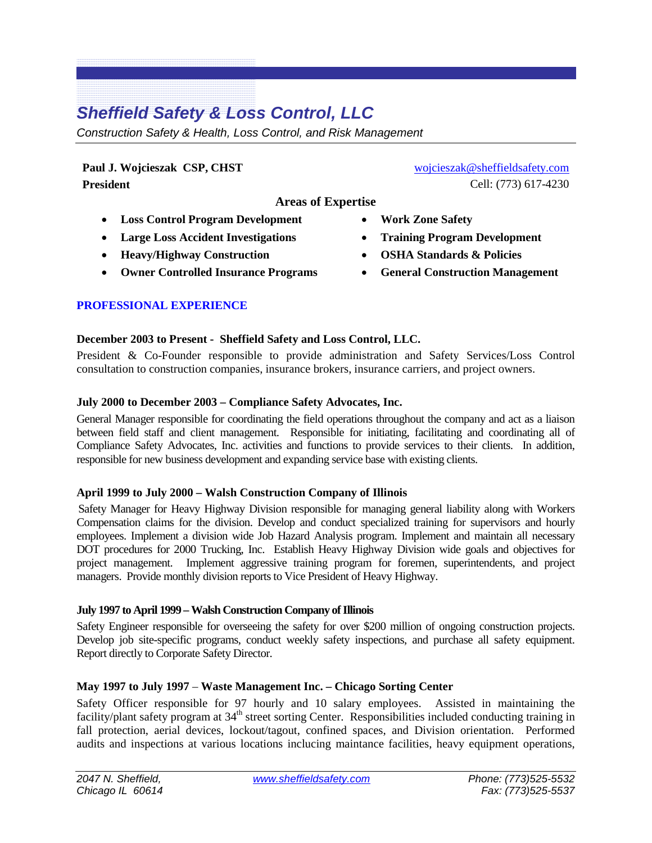# *Sheffield Safety & Loss Control, LLC*

*Construction Safety & Health, Loss Control, and Risk Management*

**Paul J. Wojcieszak CSP, CHST President**

**Areas of Expertise**

- **Loss Control Program Development**
- **Large Loss Accident Investigations**
- **Heavy/Highway Construction**
- **Owner Controlled Insurance Programs**

# **PROFESSIONAL EXPERIENCE**

# **December 2003 to Present - Sheffield Safety and Loss Control, LLC.**

President & Co-Founder responsible to provide administration and Safety Services/Loss Control consultation to construction companies, insurance brokers, insurance carriers, and project owners.

# **July 2000 to December 2003 – Compliance Safety Advocates, Inc.**

General Manager responsible for coordinating the field operations throughout the company and act as a liaison between field staff and client management. Responsible for initiating, facilitating and coordinating all of Compliance Safety Advocates, Inc. activities and functions to provide services to their clients. In addition, responsible for new business development and expanding service base with existing clients.

# **April 1999 to July 2000 – Walsh Construction Company of Illinois**

Safety Manager for Heavy Highway Division responsible for managing general liability along with Workers Compensation claims for the division. Develop and conduct specialized training for supervisors and hourly employees. Implement a division wide Job Hazard Analysis program. Implement and maintain all necessary DOT procedures for 2000 Trucking, Inc. Establish Heavy Highway Division wide goals and objectives for project management. Implement aggressive training program for foremen, superintendents, and project managers. Provide monthly division reports to Vice President of Heavy Highway.

# **July 1997 to April 1999 –Walsh Construction Company of Illinois**

Safety Engineer responsible for overseeing the safety for over \$200 million of ongoing construction projects. Develop job site-specific programs, conduct weekly safety inspections, and purchase all safety equipment. Report directly to Corporate Safety Director.

# **May 1997 to July 1997** – **Waste Management Inc. – Chicago Sorting Center**

Safety Officer responsible for 97 hourly and 10 salary employees. Assisted in maintaining the facility/plant safety program at 34<sup>th</sup> street sorting Center. Responsibilities included conducting training in fall protection, aerial devices, lockout/tagout, confined spaces, and Division orientation. Performed audits and inspections at various locations inclucing maintance facilities, heavy equipment operations,

- [wojcieszak@sheffieldsafety.com](mailto:wojcieszak@sheffieldsafety.com) Cell: (773) 617-4230
- **Work Zone Safety**
- **Training Program Development**
- **OSHA Standards & Policies**
- **General Construction Management**